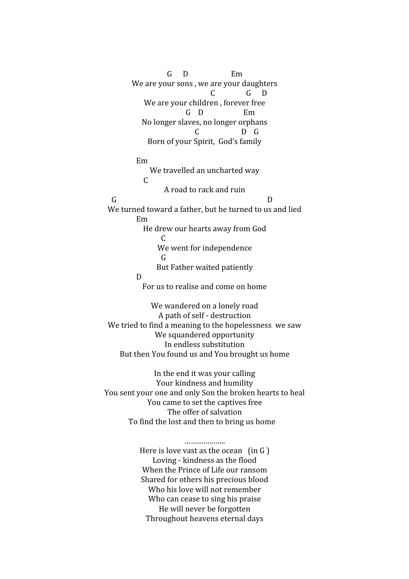G D Em We are your sons , we are your daughters C G D We are your children , forever free G D Em No longer slaves, no longer orphans C D G Born of your Spirit, God's family Em We travelled an uncharted way  $\mathcal{C}$ A road to rack and ruin G D We turned toward a father, but he turned to us and lied Em He drew our hearts away from God  $\mathcal{C}$ We went for independence G But Father waited patiently D For us to realise and come on home We wandered on a lonely road A path of self - destruction We tried to find a meaning to the hopelessness we saw We squandered opportunity In endless substitution

> In the end it was your calling Your kindness and humility You sent your one and only Son the broken hearts to heal You came to set the captives free The offer of salvation To find the lost and then to bring us home

But then You found us and You brought us home

……………….. Here is love vast as the ocean  $(in G)$ Loving - kindness as the flood When the Prince of Life our ransom Shared for others his precious blood Who his love will not remember Who can cease to sing his praise He will never be forgotten Throughout heavens eternal days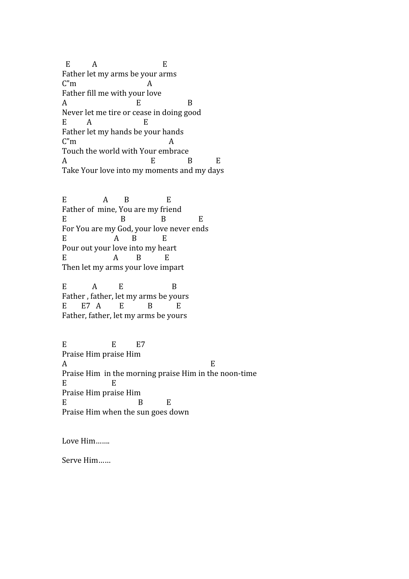E A E Father let my arms be your arms C"m A Father fill me with your love A E B Never let me tire or cease in doing good E A E Father let my hands be your hands C"m A Touch the world with Your embrace A E B E Take Your love into my moments and my days

E A B E Father of mine, You are my friend E B B E For You are my God, your love never ends E A B E Pour out your love into my heart E A B E Then let my arms your love impart

E A E B Father , father, let my arms be yours E E7 A E B E Father, father, let my arms be yours

E E E7 Praise Him praise Him  $\mathbf A$ Praise Him in the morning praise Him in the noon-time E E Praise Him praise Him E B E Praise Him when the sun goes down

Love Him…….

Serve Him……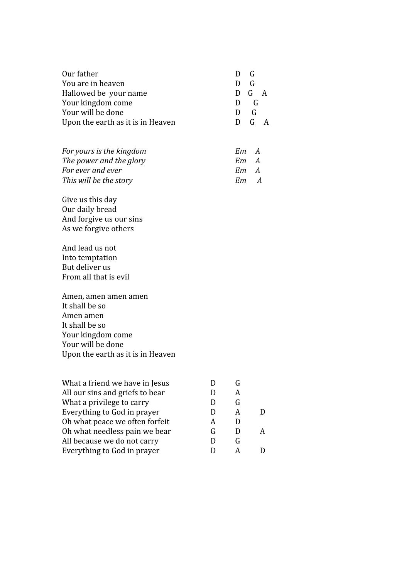| Our father<br>You are in heaven<br>Hallowed be your name<br>Your kingdom come<br>Your will be done<br>Upon the earth as it is in Heaven                                                                                                                        |                                       | D<br>G<br>G<br>D<br>G<br>D<br>A<br>D<br>G<br>G<br>D<br>G<br>D<br>A |
|----------------------------------------------------------------------------------------------------------------------------------------------------------------------------------------------------------------------------------------------------------------|---------------------------------------|--------------------------------------------------------------------|
| For yours is the kingdom<br>The power and the glory<br>For ever and ever<br>This will be the story<br>Give us this day<br>Our daily bread                                                                                                                      |                                       | Em<br>A<br>Em<br>A<br>Em<br>A<br>$Em \quad A$                      |
| And forgive us our sins<br>As we forgive others<br>And lead us not<br>Into temptation<br>But deliver us<br>From all that is evil                                                                                                                               |                                       |                                                                    |
| Amen, amen amen amen<br>It shall be so<br>Amen amen<br>It shall be so<br>Your kingdom come<br>Your will be done<br>Upon the earth as it is in Heaven                                                                                                           |                                       |                                                                    |
| What a friend we have in Jesus<br>All our sins and griefs to bear<br>What a privilege to carry<br>Everything to God in prayer<br>Oh what peace we often forfeit<br>Oh what needless pain we bear<br>All because we do not carry<br>Everything to God in prayer | D<br>D<br>I)<br>D<br>A<br>G<br>D<br>D | G<br>A<br>G<br>A<br>D<br>D<br>D<br>A<br>G<br>A<br>D                |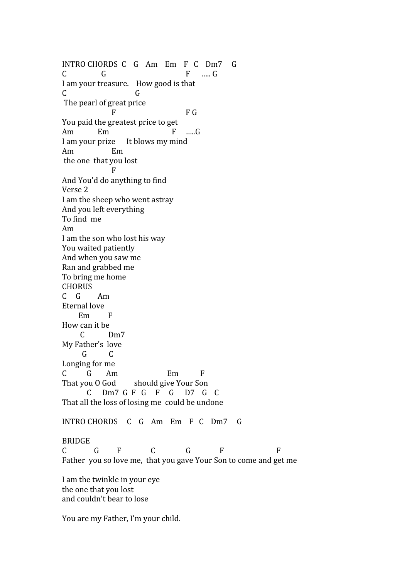INTRO CHORDS C G Am Em F C Dm7 G C G F ….. G I am your treasure. How good is that C G The pearl of great price F F G You paid the greatest price to get Am Em F …..G I am your prize It blows my mind Am Em the one that you lost F And You'd do anything to find Verse 2 I am the sheep who went astray And you left everything To find me Am I am the son who lost his way You waited patiently And when you saw me Ran and grabbed me To bring me home **CHORUS** C G Am Eternal love Em F How can it be C Dm7 My Father's love G C Longing for me C G Am Em F That you O God should give Your Son C Dm7 G F G F G D7 G C That all the loss of losing me could be undone INTRO CHORDS C G Am Em F C Dm7 G BRIDGE C G F C G F F Father you so love me, that you gave Your Son to come and get me I am the twinkle in your eye the one that you lost and couldn't bear to lose

You are my Father, I'm your child.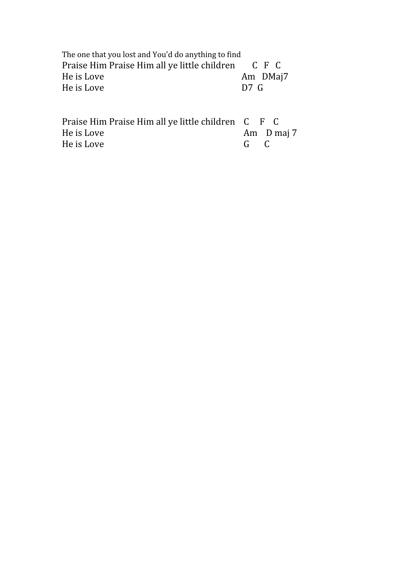| The one that you lost and You'd do anything to find |                  |          |  |
|-----------------------------------------------------|------------------|----------|--|
| Praise Him Praise Him all ye little children        |                  | CFC      |  |
| He is Love                                          |                  | Am DMaj7 |  |
| He is Love                                          | D <sub>7</sub> G |          |  |

| Praise Him Praise Him all ye little children C F C |                           |            |
|----------------------------------------------------|---------------------------|------------|
| He is Love                                         |                           | Am D maj 7 |
| He is Love                                         | $\mathbf{G}$ $\mathbf{G}$ |            |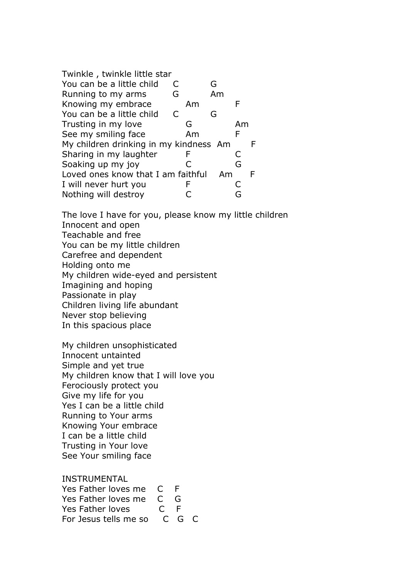| Twinkle, twinkle little star           |   |    |    |    |   |
|----------------------------------------|---|----|----|----|---|
| You can be a little child              | C |    | G  |    |   |
| Running to my arms                     | G |    | Am |    |   |
| Knowing my embrace                     |   | Am |    | F  |   |
| You can be a little child              | C |    | G  |    |   |
| Trusting in my love                    |   | G  |    | Am |   |
| See my smiling face                    |   | Am |    | F  |   |
| My children drinking in my kindness Am |   |    |    |    | F |
| Sharing in my laughter                 |   |    |    | C  |   |
| Soaking up my joy                      |   | C  |    | G  |   |
| Loved ones know that I am faithful     |   |    | Am |    | F |
| I will never hurt you                  |   | F  |    | Ċ  |   |
| Nothing will destroy                   |   |    |    | G  |   |

The love I have for you, please know my little children Innocent and open Teachable and free You can be my little children Carefree and dependent Holding onto me My children wide-eyed and persistent Imagining and hoping Passionate in play Children living life abundant Never stop believing In this spacious place

My children unsophisticated Innocent untainted Simple and yet true My children know that I will love you Ferociously protect you Give my life for you Yes I can be a little child Running to Your arms Knowing Your embrace I can be a little child Trusting in Your love See Your smiling face

## INSTRUMENTAL Yes Father loves me C F Yes Father loves me C G Yes Father loves C F For Jesus tells me so C G C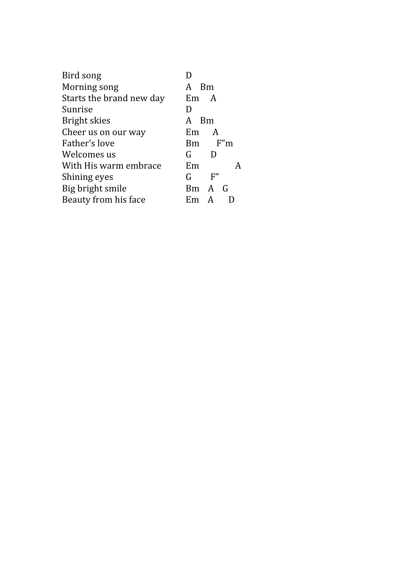| Bird song                |                |
|--------------------------|----------------|
| Morning song             | <b>Bm</b><br>A |
| Starts the brand new day | Em A           |
| Sunrise                  | D              |
| Bright skies             | <b>Bm</b><br>A |
| Cheer us on our way      | Em<br>A        |
| Father's love            | Bm F"m         |
| Welcomes us              | G<br>$\Box$    |
| With His warm embrace    | Em<br>A        |
| Shining eyes             | F''<br>G       |
| Big bright smile         | Bm A G         |
| Beauty from his face     | A              |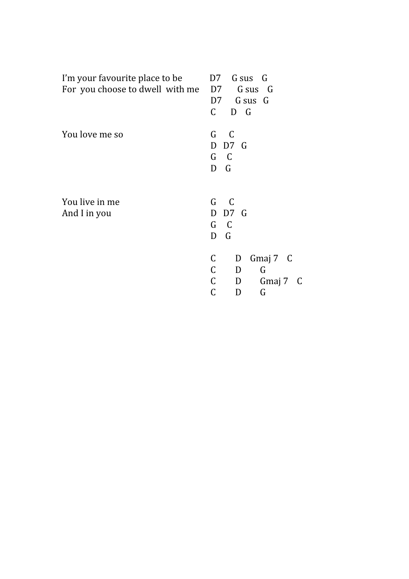| I'm your favourite place to be<br>For you choose to dwell with me | D7 G sus G<br>D7 G sus G<br>D7 G sus G<br>$C$ D $G$                    |
|-------------------------------------------------------------------|------------------------------------------------------------------------|
| You love me so                                                    | G C<br>$D$ $D$ $C$<br>G C<br>D G                                       |
| You live in me<br>And I in you                                    | G C<br>D D7 G<br>G C<br>D G                                            |
|                                                                   | C<br>Gmaj 7 C<br>D<br>C<br>D<br>G<br>C<br>D<br>Gmaj 7 C<br>C<br>G<br>D |